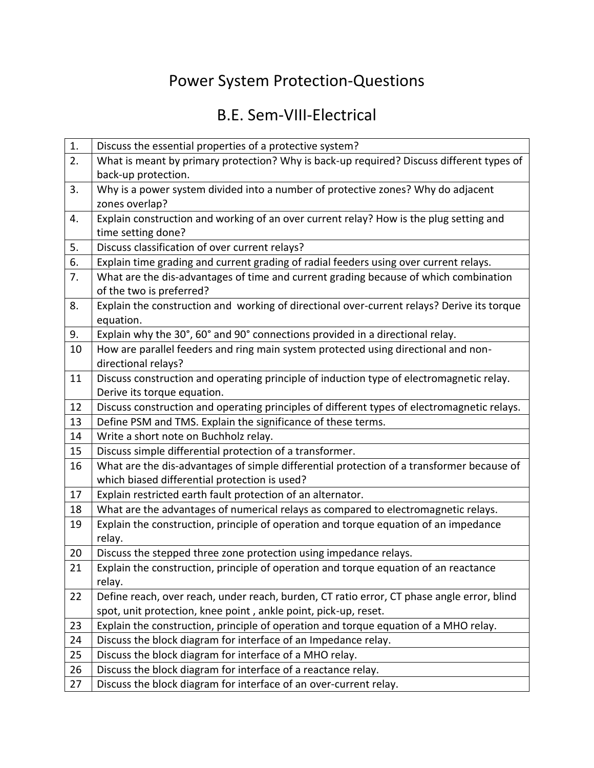## Power System Protection-Questions

## B.E. Sem-VIII-Electrical

| 1. | Discuss the essential properties of a protective system?                                    |
|----|---------------------------------------------------------------------------------------------|
| 2. | What is meant by primary protection? Why is back-up required? Discuss different types of    |
|    | back-up protection.                                                                         |
| 3. | Why is a power system divided into a number of protective zones? Why do adjacent            |
|    | zones overlap?                                                                              |
| 4. | Explain construction and working of an over current relay? How is the plug setting and      |
|    | time setting done?                                                                          |
| 5. | Discuss classification of over current relays?                                              |
| 6. | Explain time grading and current grading of radial feeders using over current relays.       |
| 7. | What are the dis-advantages of time and current grading because of which combination        |
|    | of the two is preferred?                                                                    |
| 8. | Explain the construction and working of directional over-current relays? Derive its torque  |
|    | equation.                                                                                   |
| 9. | Explain why the 30°, 60° and 90° connections provided in a directional relay.               |
| 10 | How are parallel feeders and ring main system protected using directional and non-          |
|    | directional relays?                                                                         |
| 11 | Discuss construction and operating principle of induction type of electromagnetic relay.    |
|    | Derive its torque equation.                                                                 |
| 12 | Discuss construction and operating principles of different types of electromagnetic relays. |
| 13 | Define PSM and TMS. Explain the significance of these terms.                                |
| 14 | Write a short note on Buchholz relay.                                                       |
| 15 | Discuss simple differential protection of a transformer.                                    |
| 16 | What are the dis-advantages of simple differential protection of a transformer because of   |
|    | which biased differential protection is used?                                               |
| 17 | Explain restricted earth fault protection of an alternator.                                 |
| 18 | What are the advantages of numerical relays as compared to electromagnetic relays.          |
| 19 | Explain the construction, principle of operation and torque equation of an impedance        |
|    | relay.                                                                                      |
| 20 | Discuss the stepped three zone protection using impedance relays.                           |
| 21 | Explain the construction, principle of operation and torque equation of an reactance        |
|    | relay.                                                                                      |
| 22 | Define reach, over reach, under reach, burden, CT ratio error, CT phase angle error, blind  |
|    | spot, unit protection, knee point, ankle point, pick-up, reset.                             |
| 23 | Explain the construction, principle of operation and torque equation of a MHO relay.        |
| 24 | Discuss the block diagram for interface of an Impedance relay.                              |
| 25 | Discuss the block diagram for interface of a MHO relay.                                     |
| 26 | Discuss the block diagram for interface of a reactance relay.                               |
| 27 | Discuss the block diagram for interface of an over-current relay.                           |